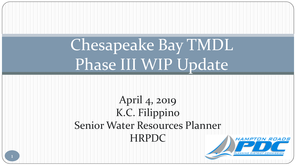# Chesapeake Bay TMDL Phase III WIP Update

April 4, 2019 K.C. Filippino Senior Water Resources Planner HRPDC

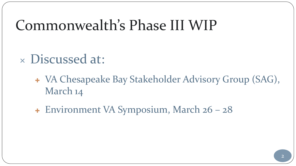## Commonwealth's Phase III WIP

#### Discussed at:

 VA Chesapeake Bay Stakeholder Advisory Group (SAG), March 14

Environment VA Symposium, March 26 – 28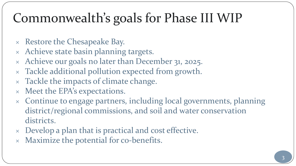## Commonwealth's goals for Phase III WIP

- $\times$  Restore the Chesapeake Bay.
- Achieve state basin planning targets.
- Achieve our goals no later than December 31, 2025.
- Tackle additional pollution expected from growth.
- Tackle the impacts of climate change.
- Meet the EPA's expectations.
- Continue to engage partners, including local governments, planning district/regional commissions, and soil and water conservation districts.
- Develop a plan that is practical and cost effective.
- $\times$  Maximize the potential for co-benefits.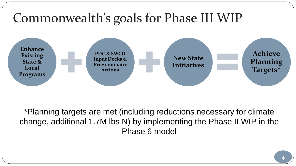

\*Planning targets are met (including reductions necessary for climate change, additional 1.7M lbs N) by implementing the Phase II WIP in the Phase 6 model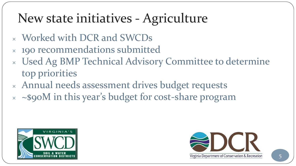## New state initiatives - Agriculture

- Worked with DCR and SWCDs
- 190 recommendations submitted
- Used Ag BMP Technical Advisory Committee to determine top priorities
- Annual needs assessment drives budget requests
- $\times$   $\sim$ \$90M in this year's budget for cost-share program



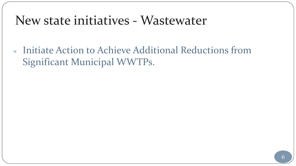#### New state initiatives - Wastewater

 Initiate Action to Achieve Additional Reductions from Significant Municipal WWTPs.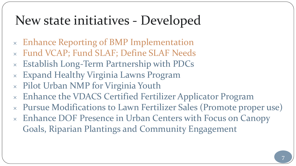#### New state initiatives - Developed

- Enhance Reporting of BMP Implementation
- Fund VCAP; Fund SLAF; Define SLAF Needs
- Establish Long-Term Partnership with PDCs
- Expand Healthy Virginia Lawns Program
- Pilot Urban NMP for Virginia Youth
- Enhance the VDACS Certified Fertilizer Applicator Program
- Pursue Modifications to Lawn Fertilizer Sales (Promote proper use)
- Enhance DOF Presence in Urban Centers with Focus on Canopy Goals, Riparian Plantings and Community Engagement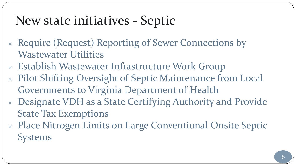#### New state initiatives - Septic

- Require (Request) Reporting of Sewer Connections by Wastewater Utilities
- Establish Wastewater Infrastructure Work Group
- Pilot Shifting Oversight of Septic Maintenance from Local Governments to Virginia Department of Health
- Designate VDH as a State Certifying Authority and Provide State Tax Exemptions
- Place Nitrogen Limits on Large Conventional Onsite Septic Systems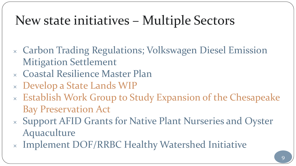### New state initiatives – Multiple Sectors

- Carbon Trading Regulations; Volkswagen Diesel Emission Mitigation Settlement
- Coastal Resilience Master Plan
- Develop a State Lands WIP
- Establish Work Group to Study Expansion of the Chesapeake Bay Preservation Act
- Support AFID Grants for Native Plant Nurseries and Oyster Aquaculture
- Implement DOF/RRBC Healthy Watershed Initiative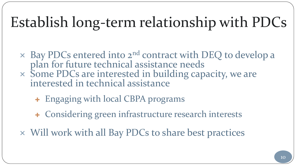## Establish long-term relationship with PDCs

- $\times$  Bay PDCs entered into  $2^{nd}$  contract with DEQ to develop a plan for future technical assistance needs Some PDCs are interested in building capacity, we are interested in technical assistance
	- Engaging with local CBPA programs
	- Considering green infrastructure research interests
- Will work with all Bay PDCs to share best practices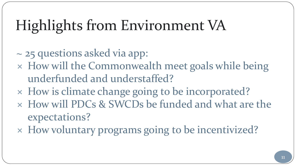## Highlights from Environment VA

- ~ 25 questions asked via app:
- How will the Commonwealth meet goals while being underfunded and understaffed?
- How is climate change going to be incorporated?
- How will PDCs & SWCDs be funded and what are the expectations?
- How voluntary programs going to be incentivized?